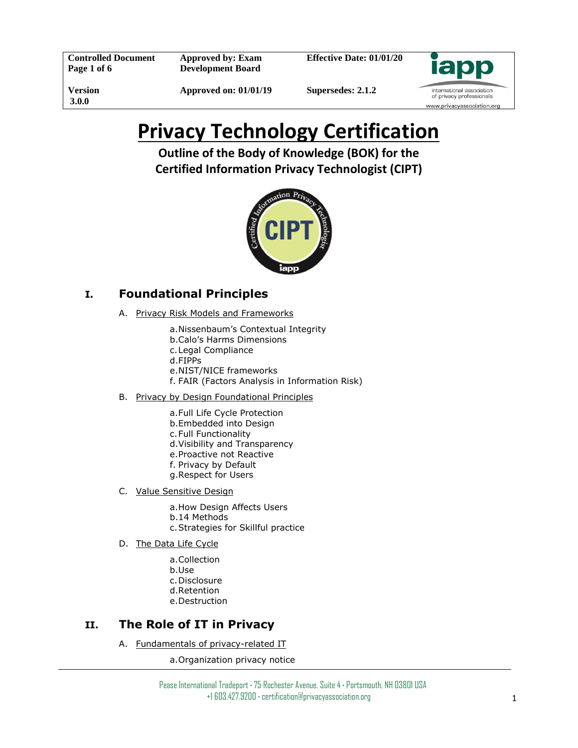**Controlled Document Page 1 of 6**

**Approved by: Exam Development Board**

**Effective Date: 01/01/20**



**Version 3.0.0**

**Approved on: 01/01/19**

**Supersedes: 2.1.2**

# **Privacy Technology Certification**

**Outline of the Body of Knowledge (BOK) for the Certified Information Privacy Technologist (CIPT)**



# **I. Foundational Principles**

- A. Privacy Risk Models and Frameworks
	- a.Nissenbaum's Contextual Integrity
	- b.Calo's Harms Dimensions
	- c.Legal Compliance
	- d.FIPPs
	- e.NIST/NICE frameworks
	- f. FAIR (Factors Analysis in Information Risk)
- B. Privacy by Design Foundational Principles
	- a.Full Life Cycle Protection
	- b.Embedded into Design
	- c.Full Functionality
	- d.Visibility and Transparency
	- e.Proactive not Reactive
	- f. Privacy by Default
	- g.Respect for Users
- C. Value Sensitive Design
	- a.How Design Affects Users
	- b.14 Methods
	- c.Strategies for Skillful practice
- D. The Data Life Cycle
	- a.Collection
	- b.Use
	- c.Disclosure
	- d.Retention
	- e.Destruction

# **II. The Role of IT in Privacy**

A. Fundamentals of privacy-related IT

a.Organization privacy notice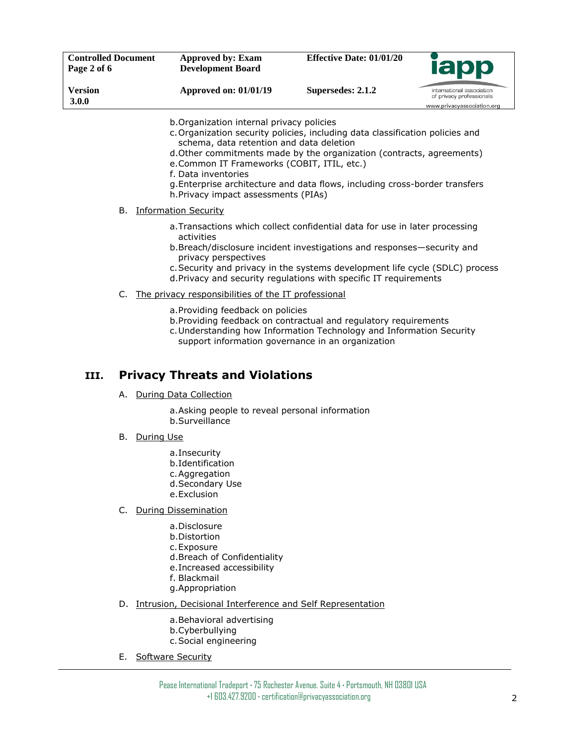| <b>Controlled Document</b><br>Page 2 of 6 | Approved by: Exam<br><b>Development Board</b> | <b>Effective Date: 01/01/20</b> | <b>lapp</b>                                                                         |
|-------------------------------------------|-----------------------------------------------|---------------------------------|-------------------------------------------------------------------------------------|
| Version<br><b>3.0.0</b>                   | <b>Approved on: 01/01/19</b>                  | Supersedes: 2.1.2               | international association<br>of privacy professionals<br>www.privacyassociation.org |

b.Organization internal privacy policies

- c.Organization security policies, including data classification policies and schema, data retention and data deletion
- d.Other commitments made by the organization (contracts, agreements)
- e.Common IT Frameworks (COBIT, ITIL, etc.)
- f. Data inventories
- g.Enterprise architecture and data flows, including cross-border transfers h.Privacy impact assessments (PIAs)

B. Information Security

- a.Transactions which collect confidential data for use in later processing activities
- b.Breach/disclosure incident investigations and responses—security and privacy perspectives
- c.Security and privacy in the systems development life cycle (SDLC) process
- d.Privacy and security regulations with specific IT requirements
- C. The privacy responsibilities of the IT professional
	- a.Providing feedback on policies
	- b.Providing feedback on contractual and regulatory requirements
	- c.Understanding how Information Technology and Information Security support information governance in an organization

## **III. Privacy Threats and Violations**

A. During Data Collection

a.Asking people to reveal personal information b.Surveillance

- B. During Use
	- a.Insecurity
	- b.Identification
	- c.Aggregation
	- d.Secondary Use
	- e.Exclusion
- C. During Dissemination
	- a.Disclosure
		- b.Distortion
		- c.Exposure
		- d.Breach of Confidentiality
		- e.Increased accessibility
		- f. Blackmail
		- g.Appropriation
- D. Intrusion, Decisional Interference and Self Representation
	- a.Behavioral advertising
	- b.Cyberbullying
	- c.Social engineering
- E. Software Security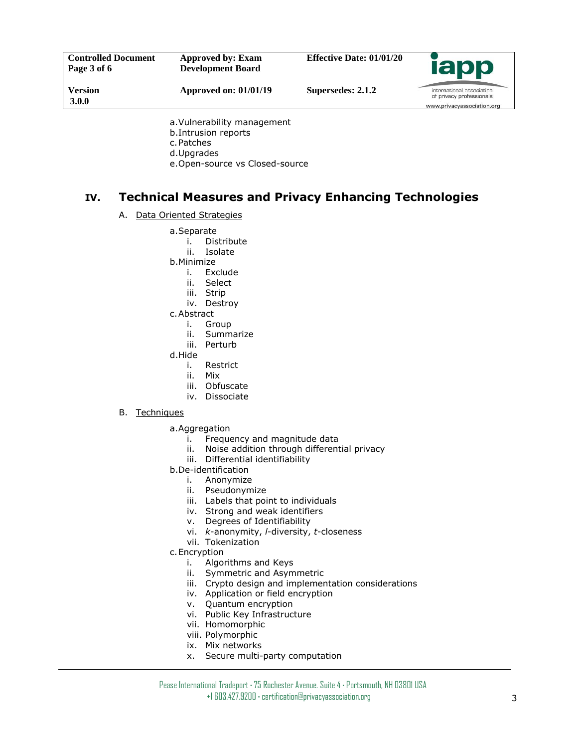| <b>Controlled Document</b><br>Page 3 of 6 | Approved by: Exam<br><b>Development Board</b> | <b>Effective Date: 01/01/20</b> | <b>Iapp</b>                                           |
|-------------------------------------------|-----------------------------------------------|---------------------------------|-------------------------------------------------------|
| Version<br><b>3.0.0</b>                   | <b>Approved on: 01/01/19</b>                  | Supersedes: 2.1.2               | international association<br>of privacy professionals |
|                                           | $\sim$ Vulnorability managament               |                                 | www.privacyassociation.org                            |

- a.Vulnerability management b.Intrusion reports c.Patches d.Upgrades
- e.Open-source vs Closed-source

# **IV. Technical Measures and Privacy Enhancing Technologies**

#### A. Data Oriented Strategies

- a.Separate
	- i. Distribute
	- ii. Isolate
- b.Minimize
	- i. Exclude
	- ii. Select
	- iii. Strip
	- iv. Destroy
- c.Abstract
	- i. Group
	- ii. Summarize
	- iii. Perturb
- d.Hide
	- i. Restrict
	- ii. Mix
	- iii. Obfuscate
	- iv. Dissociate
- B. Techniques
	- a.Aggregation
		- i. Frequency and magnitude data
		- ii. Noise addition through differential privacy
		- iii. Differential identifiability
	- b.De-identification
		- i. Anonymize
		- ii. Pseudonymize
		- iii. Labels that point to individuals
		- iv. Strong and weak identifiers
		- v. Degrees of Identifiability
		- vi. *k*-anonymity, *l*-diversity, *t*-closeness
		- vii. Tokenization
	- c.Encryption
		- i. Algorithms and Keys
		- ii. Symmetric and Asymmetric
		- iii. Crypto design and implementation considerations
		- iv. Application or field encryption
		- v. Quantum encryption
		- vi. Public Key Infrastructure
		- vii. Homomorphic
		- viii. Polymorphic
		- ix. Mix networks
		- x. Secure multi-party computation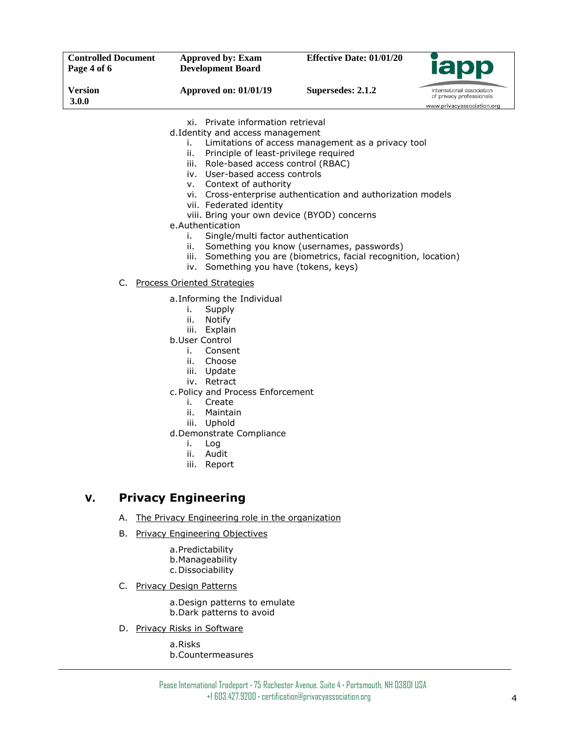| <b>Controlled Document</b><br>Page 4 of 6 | Approved by: Exam<br><b>Development Board</b> | <b>Effective Date: 01/01/20</b> | <b>lapp</b>                                                                         |
|-------------------------------------------|-----------------------------------------------|---------------------------------|-------------------------------------------------------------------------------------|
| Version<br><b>3.0.0</b>                   | <b>Approved on: 01/01/19</b>                  | Supersedes: 2.1.2               | international association<br>of privacy professionals<br>www.privacyassociation.org |

xi. Private information retrieval d.Identity and access management

- i. Limitations of access management as a privacy tool
- ii. Principle of least-privilege required
- iii. Role-based access control (RBAC)
- iv. User-based access controls
- v. Context of authority
- vi. Cross-enterprise authentication and authorization models
- vii. Federated identity
- viii. Bring your own device (BYOD) concerns
- e.Authentication
	- i. Single/multi factor authentication
	- ii. Something you know (usernames, passwords)
	- iii. Something you are (biometrics, facial recognition, location)
	- iv. Something you have (tokens, keys)
- C. Process Oriented Strategies
	- a.Informing the Individual
		- i. Supply
		- ii. Notify
		- iii. Explain
	- b.User Control
		- i. Consent
		- ii. Choose
		- iii. Update
		- iv. Retract
	- c.Policy and Process Enforcement
		- i. Create
		- ii. Maintain
		- iii. Uphold
	- d.Demonstrate Compliance
		- i. Log
		- ii. Audit
		- iii. Report

## **V. Privacy Engineering**

- A. The Privacy Engineering role in the organization
- B. Privacy Engineering Objectives
	- a.Predictability
	- b.Manageability
	- c.Dissociability
- C. Privacy Design Patterns
	- a.Design patterns to emulate b.Dark patterns to avoid
- D. Privacy Risks in Software
	- a.Risks b.Countermeasures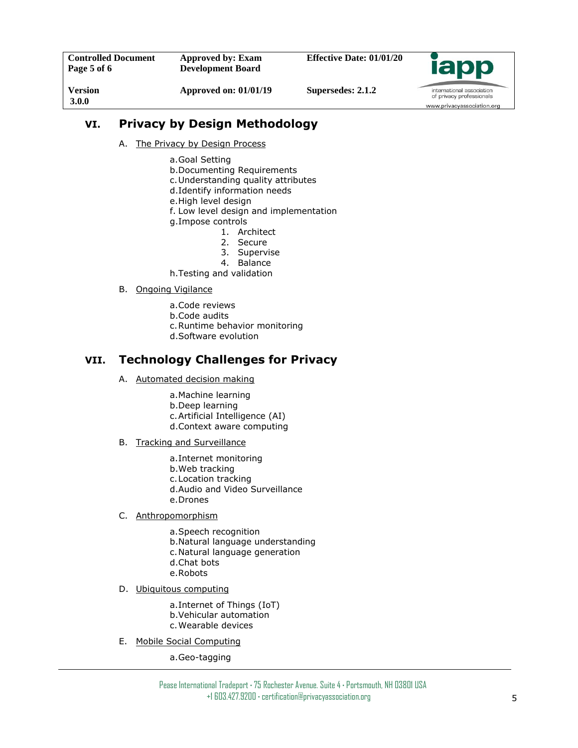# **VI. Privacy by Design Methodology**

- A. The Privacy by Design Process
	- a.Goal Setting
	- b.Documenting Requirements
	- c.Understanding quality attributes
	- d.Identify information needs
	- e.High level design
	- f. Low level design and implementation
	- g.Impose controls
		- 1. Architect
		- 2. Secure
		- 3. Supervise
		- 4. Balance
	- h.Testing and validation

#### B. Ongoing Vigilance

- a.Code reviews
- b.Code audits
- c.Runtime behavior monitoring
- d.Software evolution

## **VII. Technology Challenges for Privacy**

- A. Automated decision making
	- a.Machine learning
	- b.Deep learning
	- c.Artificial Intelligence (AI)
	- d.Context aware computing
- B. Tracking and Surveillance
	- a.Internet monitoring
	- b.Web tracking
	- c.Location tracking
	- d.Audio and Video Surveillance
	- e.Drones

#### C. Anthropomorphism

- a.Speech recognition
- b.Natural language understanding
- c.Natural language generation
- d.Chat bots
- e.Robots

### D. Ubiquitous computing

- a.Internet of Things (IoT)
- b.Vehicular automation
- c.Wearable devices
- E. Mobile Social Computing

a.Geo-tagging